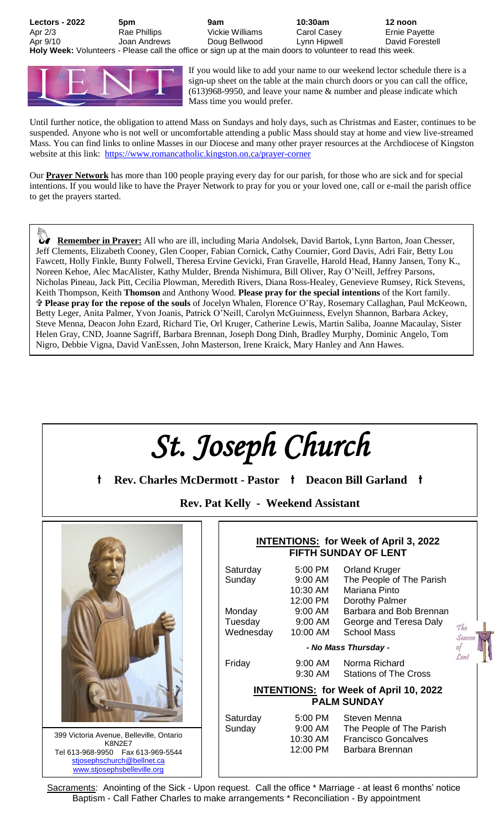**Lectors - 2022 5pm 9am 10:30am 12 noon** Apr 2/3 **Rae Phillips** Vickie Williams Carol Casey Ernie Payette Apr 9/10 Joan Andrews Doug Bellwood Lynn Hipwell David Forestell **Holy Week:** Volunteers - Please call the office or sign up at the main doors to volunteer to read this week.



If you would like to add your name to our weekend lector schedule there is a sign-up sheet on the table at the main church doors or you can call the office, (613)968-9950, and leave your name & number and please indicate which Mass time you would prefer.

Until further notice, the obligation to attend Mass on Sundays and holy days, such as Christmas and Easter, continues to be suspended. Anyone who is not well or uncomfortable attending a public Mass should stay at home and view live-streamed Mass. You can find links to online Masses in our Diocese and many other prayer resources at the Archdiocese of Kingston website at this link: <https://www.romancatholic.kingston.on.ca/prayer-corner>

Our **Prayer Network** has more than 100 people praying every day for our parish, for those who are sick and for special intentions. If you would like to have the Prayer Network to pray for you or your loved one, call or e-mail the parish office to get the prayers started.

 **Remember in Prayer:** All who are ill, including Maria Andolsek, David Bartok, Lynn Barton, Joan Chesser, Jeff Clements, Elizabeth Cooney, Glen Cooper, Fabian Cornick, Cathy Cournier, Gord Davis, Adri Fair, Betty Lou Fawcett, Holly Finkle, Bunty Folwell, Theresa Ervine Gevicki, Fran Gravelle, Harold Head, Hanny Jansen, Tony K., Noreen Kehoe, Alec MacAlister, Kathy Mulder, Brenda Nishimura, Bill Oliver, Ray O'Neill, Jeffrey Parsons, Nicholas Pineau, Jack Pitt, Cecilia Plowman, Meredith Rivers, Diana Ross-Healey, Genevieve Rumsey, Rick Stevens, Keith Thompson, Keith **Thomson** and Anthony Wood. **Please pray for the special intentions** of the Kort family. **Please pray for the repose of the souls** of Jocelyn Whalen, Florence O'Ray, Rosemary Callaghan, Paul McKeown, Betty Leger, Anita Palmer, Yvon Joanis, Patrick O'Neill, Carolyn McGuinness, Evelyn Shannon, Barbara Ackey, Steve Menna, Deacon John Ezard, Richard Tie, Orl Kruger, Catherine Lewis, Martin Saliba, Joanne Macaulay, Sister Helen Gray, CND, Joanne Sagriff, Barbara Brennan, Joseph Dong Dinh, Bradley Murphy, Dominic Angelo, Tom Nigro, Debbie Vigna, David VanEssen, John Masterson, Irene Kraick, Mary Hanley and Ann Hawes.



Sacraments: Anointing of the Sick - Upon request. Call the office \* Marriage - at least 6 months' notice Baptism - Call Father Charles to make arrangements \* Reconciliation - By appointment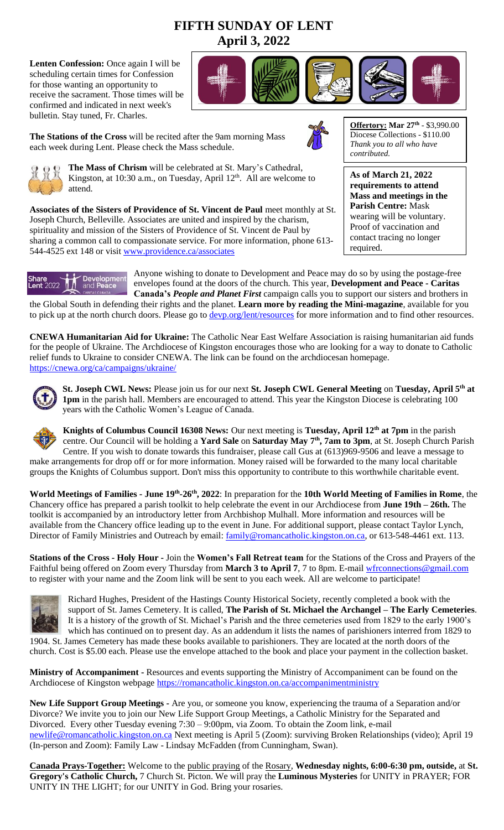# **FIFTH SUNDAY OF LENT April 3, 2022**

**Lenten Confession:** Once again I will be scheduling certain times for Confession for those wanting an opportunity to receive the sacrament. Those times will be confirmed and indicated in next week's bulletin. Stay tuned, Fr. Charles.



**The Stations of the Cross** will be recited after the 9am morning Mass each week during Lent. Please check the Mass schedule.





**As of March 21, 2022 requirements to attend Mass and meetings in the Parish Centre:** Mask wearing will be voluntary. Proof of vaccination and contact tracing no longer

required.



**The Mass of Chrism** will be celebrated at St. Mary's Cathedral, Kingston, at  $10:30$  a.m., on Tuesday, April  $12<sup>th</sup>$ . All are welcome to attend.

**Associates of the Sisters of Providence of St. Vincent de Paul** meet monthly at St. Joseph Church, Belleville. Associates are united and inspired by the charism, spirituality and mission of the Sisters of Providence of St. Vincent de Paul by sharing a common call to compassionate service. For more information, phone 613 544-4525 ext 148 or visit [www.providence.ca/associates](http://www.providence.ca/associates)



Anyone wishing to donate to Development and Peace may do so by using the postage-free envelopes found at the doors of the church. This year, **Development and Peace - Caritas Canada's** *People and Planet First* campaign calls you to support our sisters and brothers in

the Global South in defending their rights and the planet. **Learn more by reading the Mini-magazine**, available for you to pick up at the north church doors. Please go to [devp.org/lent/resources](http://www.devp.org/lent/resources) for more information and to find other resources.

**CNEWA Humanitarian Aid for Ukraine:** The Catholic Near East Welfare Association is raising humanitarian aid funds for the people of Ukraine. The Archdiocese of Kingston encourages those who are looking for a way to donate to Catholic relief funds to Ukraine to consider CNEWA. The link can be found on the archdiocesan homepage. <https://cnewa.org/ca/campaigns/ukraine/>



**St. Joseph CWL News:** Please join us for our next **St. Joseph CWL General Meeting** on **Tuesday, April 5th at 1pm** in the parish hall. Members are encouraged to attend. This year the Kingston Diocese is celebrating 100 years with the Catholic Women's League of Canada.



**Knights of Columbus Council 16308 News:** Our next meeting is **Tuesday, April 12th at 7pm** in the parish centre. Our Council will be holding a **Yard Sale** on **Saturday May 7th, 7am to 3pm**, at St. Joseph Church Parish Centre. If you wish to donate towards this fundraiser, please call Gus at (613)969-9506 and leave a message to make arrangements for drop off or for more information. Money raised will be forwarded to the many local charitable

**World Meetings of Families - June 19th -26th, 2022**: In preparation for the **10th World Meeting of Families in Rome**, the Chancery office has prepared a parish toolkit to help celebrate the event in our Archdiocese from **June 19th – 26th.** The toolkit is accompanied by an introductory letter from Archbishop Mulhall. More information and resources will be available from the Chancery office leading up to the event in June. For additional support, please contact Taylor Lynch, Director of Family Ministries and Outreach by email: **family@romancatholic.kingston.on.ca**, or 613-548-4461 ext. 113.

groups the Knights of Columbus support. Don't miss this opportunity to contribute to this worthwhile charitable event.

**Stations of the Cross - Holy Hour -** Join the **Women's Fall Retreat team** for the Stations of the Cross and Prayers of the Faithful being offered on Zoom every Thursday from March 3 to April 7, 7 to 8pm. E-mail *wfrconnections@gmail.com* to register with your name and the Zoom link will be sent to you each week. All are welcome to participate!



Richard Hughes, President of the Hastings County Historical Society, recently completed a book with the support of St. James Cemetery. It is called, **The Parish of St. Michael the Archangel – The Early Cemeteries**. It is a history of the growth of St. Michael's Parish and the three cemeteries used from 1829 to the early 1900's which has continued on to present day. As an addendum it lists the names of parishioners interred from 1829 to

1904. St. James Cemetery has made these books available to parishioners. They are located at the north doors of the church. Cost is \$5.00 each. Please use the envelope attached to the book and place your payment in the collection basket.

**Ministry of Accompaniment -** Resources and events supporting the Ministry of Accompaniment can be found on the Archdiocese of Kingston webpage<https://romancatholic.kingston.on.ca/accompanimentministry>

**New Life Support Group Meetings -** Are you, or someone you know, experiencing the trauma of a Separation and/or Divorce? We invite you to join our New Life Support Group Meetings, a Catholic Ministry for the Separated and Divorced. Every other Tuesday evening 7:30 – 9:00pm, via Zoom. To obtain the Zoom link, e-mail [newlife@romancatholic.kingston.on.ca](mailto:newlife@romancatholic.kingston.on.ca) Next meeting is April 5 (Zoom): surviving Broken Relationships (video); April 19 (In-person and Zoom): Family Law - Lindsay McFadden (from Cunningham, Swan).

**Canada Prays-Together:** Welcome to the public praying of the Rosary, **Wednesday nights, 6:00-6:30 pm, outside,** at **St. Gregory's Catholic Church,** 7 Church St. Picton. We will pray the **Luminous Mysteries** for UNITY in PRAYER; FOR UNITY IN THE LIGHT; for our UNITY in God. Bring your rosaries.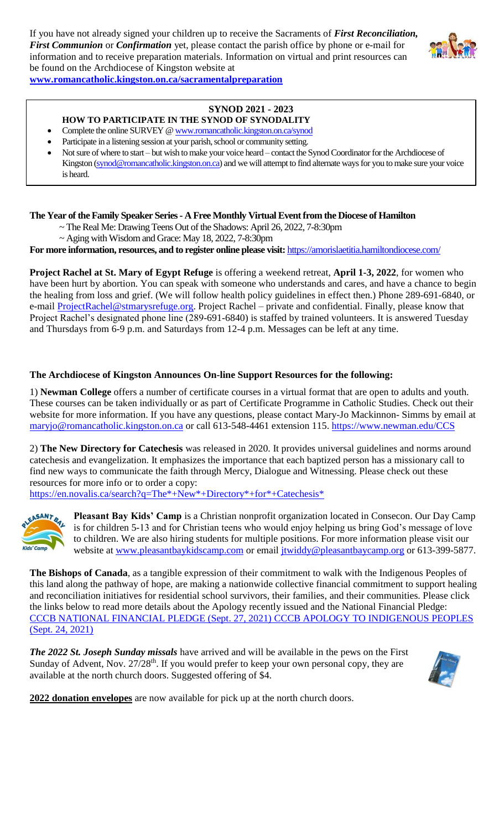If you have not already signed your children up to receive the Sacraments of *First Reconciliation, First Communion* or *Confirmation* yet, please contact the parish office by phone or e-mail for information and to receive preparation materials. Information on virtual and print resources can be found on the Archdiocese of Kingston website at



**[www.romancatholic.kingston.on.ca/sacramentalpreparation](http://www.romancatholic.kingston.on.ca/sacramentalpreparation)**

## **SYNOD 2021 - 2023**

- **HOW TO PARTICIPATE IN THE SYNOD OF SYNODALITY**
- Complete the online SURVEY [@ www.romancatholic.kingston.on.ca/synod](http://www.romancatholic.kingston.on.ca/synod)
- Participate in a listening session at your parish, school or community setting.
- Not sure of where to start but wish to make your voice heard contact the Synod Coordinator for the Archdiocese of Kingston [\(synod@romancatholic.kingston.on.ca\)](mailto:synod@romancatholic.kingston.on.ca) and we will attempt to find alternate ways for you to make sure your voice is heard.

#### **The Year of the Family Speaker Series - A Free Monthly Virtual Event from the Diocese of Hamilton**

- ~ The Real Me: Drawing Teens Out of the Shadows: April 26, 2022, 7-8:30pm
	- ~ Aging with Wisdom and Grace: May 18, 2022, 7-8:30pm

**For more information, resources, and to register online please visit:** <https://amorislaetitia.hamiltondiocese.com/>

**Project Rachel at St. Mary of Egypt Refuge** is offering a weekend retreat, **April 1-3, 2022**, for women who have been hurt by abortion. You can speak with someone who understands and cares, and have a chance to begin the healing from loss and grief. (We will follow health policy guidelines in effect then.) Phone 289-691-6840, or e-mail [ProjectRachel@stmarysrefuge.org.](mailto:ProjectRachel@stmarysrefuge.org) Project Rachel – private and confidential. Finally, please know that Project Rachel's designated phone line (289-691-6840) is staffed by trained volunteers. It is answered Tuesday and Thursdays from 6-9 p.m. and Saturdays from 12-4 p.m. Messages can be left at any time.

#### **The Archdiocese of Kingston Announces On-line Support Resources for the following:**

1) **Newman College** offers a number of certificate courses in a virtual format that are open to adults and youth. These courses can be taken individually or as part of Certificate Programme in Catholic Studies. Check out their website for more information. If you have any questions, please contact Mary-Jo Mackinnon- Simms by email at [maryjo@romancatholic.kingston.on.ca](mailto:maryjo@romancatholic.kingston.on.ca)</u> or call 613-548-4461 extension 115.<https://www.newman.edu/CCS>

2) **The New Directory for Catechesis** was released in 2020. It provides universal guidelines and norms around catechesis and evangelization. It emphasizes the importance that each baptized person has a missionary call to find new ways to communicate the faith through Mercy, Dialogue and Witnessing. Please check out these resources for more info or to order a copy:

[https://en.novalis.ca/search?q=The\\*+New\\*+Directory\\*+for\\*+Catechesis\\*](https://en.novalis.ca/search?q=The*+New*+Directory*+for*+Catechesis*)



**Pleasant Bay Kids' Camp** is a Christian nonprofit organization located in Consecon. Our Day Camp is for children 5-13 and for Christian teens who would enjoy helping us bring God's message of love to children. We are also hiring students for multiple positions. For more information please visit our website at [www.pleasantbaykidscamp.com](http://www.pleasantbaykidscamp.com/) or email [jtwiddy@pleasantbaycamp.org](about:blank) or 613-399-5877.

**The Bishops of Canada**, as a tangible expression of their commitment to walk with the Indigenous Peoples of this land along the pathway of hope, are making a nationwide collective financial commitment to support healing and reconciliation initiatives for residential school survivors, their families, and their communities. Please click the links below to read more details about the Apology recently issued and the National Financial Pledge: [CCCB NATIONAL FINANCIAL PLEDGE \(Sept. 27, 2021\)](https://www.peterboroughdiocese.org/en/resourcesGeneral/Homepage-banners/Residential-School/CCCB/CCCB-News-Release_27-September-2021_EN_FINAL.pdf) [CCCB APOLOGY TO INDIGENOUS PEOPLES](https://www.peterboroughdiocese.org/en/resourcesGeneral/Homepage-banners/Residential-School/CCCB/Statement_from_CBC_to_Indigenous-EN.pdf)  [\(Sept. 24, 2021\)](https://www.peterboroughdiocese.org/en/resourcesGeneral/Homepage-banners/Residential-School/CCCB/Statement_from_CBC_to_Indigenous-EN.pdf)

*The 2022 St. Joseph Sunday missals* have arrived and will be available in the pews on the First Sunday of Advent, Nov.  $27/28<sup>th</sup>$ . If you would prefer to keep your own personal copy, they are available at the north church doors. Suggested offering of \$4.



**2022 donation envelopes** are now available for pick up at the north church doors.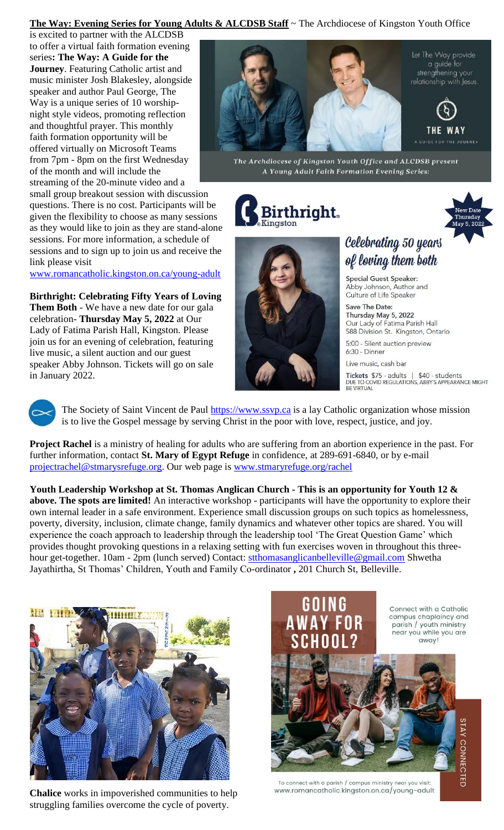### **The Way: Evening Series for Young Adults & ALCDSB Staff** ~ The Archdiocese of Kingston Youth Office

is excited to partner with the ALCDSB to offer a virtual faith formation evening series**: The Way: A Guide for the Journey**. Featuring Catholic artist and music minister Josh Blakesley, alongside speaker and author Paul George, The Way is a unique series of 10 worshipnight style videos, promoting reflection and thoughtful prayer. This monthly faith formation opportunity will be offered virtually on Microsoft Teams from 7pm - 8pm on the first Wednesday of the month and will include the streaming of the 20-minute video and a

small group breakout session with discussion questions. There is no cost. Participants will be given the flexibility to choose as many sessions as they would like to join as they are stand-alone sessions. For more information, a schedule of sessions and to sign up to join us and receive the link please visit

[www.romancatholic.kingston.on.ca/young-adult](http://www.romancatholic.kingston.on.ca/young-adult)

**Birthright: Celebrating Fifty Years of Loving Them Both** - We have a new date for our gala celebration- **Thursday May 5, 2022** at Our Lady of Fatima Parish Hall, Kingston. Please join us for an evening of celebration, featuring live music, a silent auction and our guest speaker Abby Johnson. Tickets will go on sale in January 2022.



The Archdiocese of Kingston Youth Office and ALCDSB present A Young Adult Faith Formation Evening Series:





# Celebrating 50 years of loving them both

**Special Guest Speaker:** Abby Johnson, Author and Culture of Life Speaker

Save The Date: Thursday May 5, 2022 Our Lady of Fatima Parish Hall 588 Division St. Kingston, Ontario

5:00 - Silent auction preview 6:30 - Dinner

Live music, cash bar

**Tickets** \$75 - adults | \$40 - students<br>DUE TO COVID REGULATIONS, ABBY'S APPEARANCE MIGHT<br>BE VIRTUAL



The Society of Saint Vincent de Paul **https://www.ssvp.ca** is a lay Catholic organization whose mission is to live the Gospel message by serving Christ in the poor with love, respect, justice, and joy.

**Project Rachel** is a ministry of healing for adults who are suffering from an abortion experience in the past. For further information, contact **St. Mary of Egypt Refuge** in confidence, at 289-691-6840, or by e-mail [projectrachel@stmarysrefuge.org.](mailto:projectrachel@stmarysrefuge.org) Our web page is [www.stmaryrefuge.org/rachel](http://www.stmaryrefuge.org/rachel)

**Youth Leadership Workshop at St. Thomas Anglican Church - This is an opportunity for Youth 12 & above. The spots are limited!** An interactive workshop - participants will have the opportunity to explore their own internal leader in a safe environment. Experience small discussion groups on such topics as homelessness, poverty, diversity, inclusion, climate change, family dynamics and whatever other topics are shared. You will experience the coach approach to leadership through the leadership tool 'The Great Question Game' which provides thought provoking questions in a relaxing setting with fun exercises woven in throughout this threehour get-together. 10am - 2pm (lunch served) Contact: [stthomasanglicanbelleville@gmail.com](mailto:stthomasanglicanbelleville@gmail.com) Shwetha Jayathirtha, St Thomas' Children, Youth and Family Co-ordinator **,** 201 Church St, Belleville.



**Chalice** works in impoverished communities to help struggling families overcome the cycle of poverty.



To connect with a parish / campus ministry near you visit: www.romancatholic.kingston.on.ca/young-adult